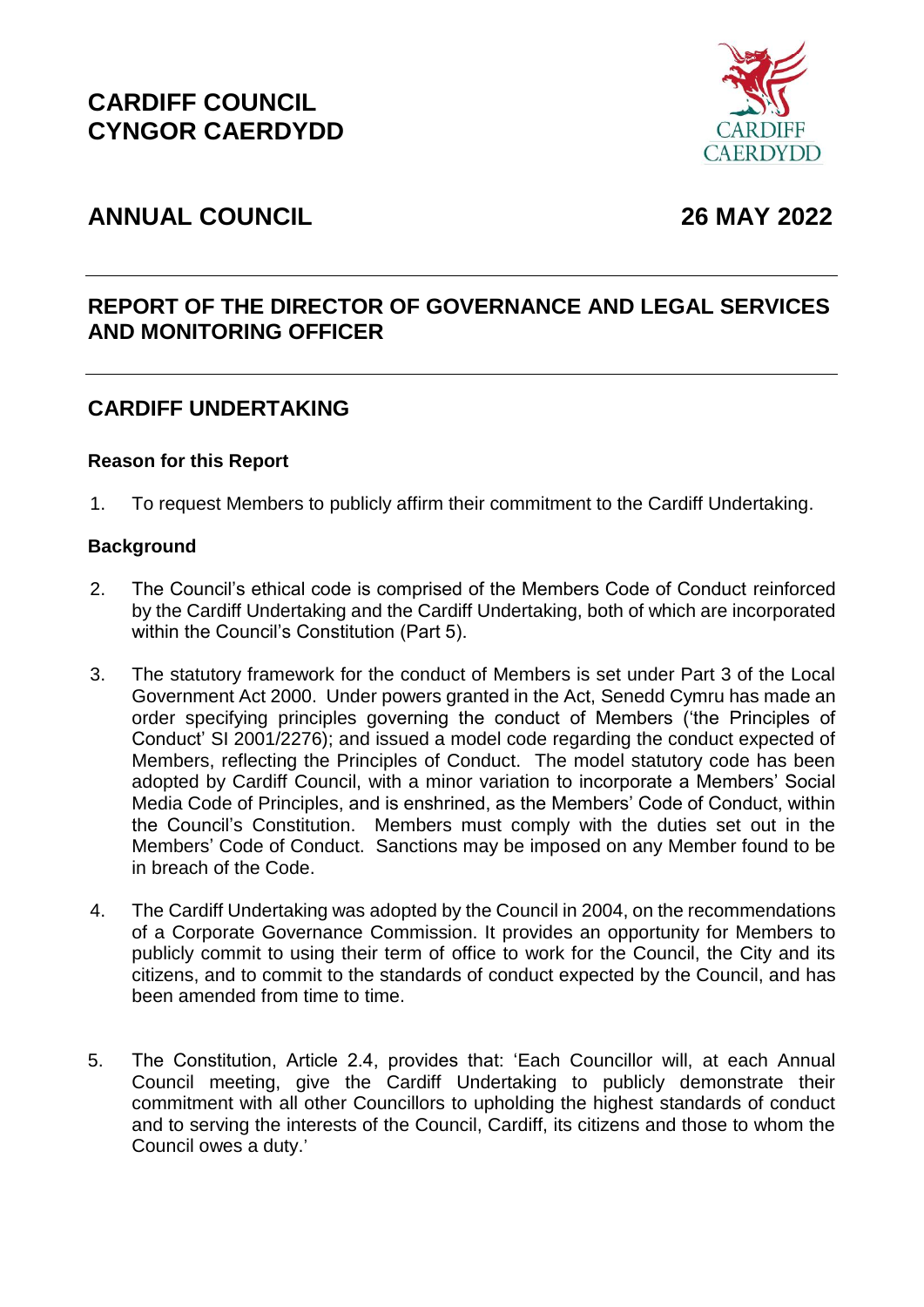

# **ANNUAL COUNCIL 26 MAY 2022**

## **REPORT OF THE DIRECTOR OF GOVERNANCE AND LEGAL SERVICES AND MONITORING OFFICER**

## **CARDIFF UNDERTAKING**

### **Reason for this Report**

1. To request Members to publicly affirm their commitment to the Cardiff Undertaking.

#### **Background**

- 2. The Council's ethical code is comprised of the Members Code of Conduct reinforced by the Cardiff Undertaking and the Cardiff Undertaking, both of which are incorporated within the Council's Constitution (Part 5).
- 3. The statutory framework for the conduct of Members is set under Part 3 of the Local Government Act 2000. Under powers granted in the Act, Senedd Cymru has made an order specifying principles governing the conduct of Members ('the Principles of Conduct' SI 2001/2276); and issued a model code regarding the conduct expected of Members, reflecting the Principles of Conduct. The model statutory code has been adopted by Cardiff Council, with a minor variation to incorporate a Members' Social Media Code of Principles, and is enshrined, as the Members' Code of Conduct, within the Council's Constitution. Members must comply with the duties set out in the Members' Code of Conduct. Sanctions may be imposed on any Member found to be in breach of the Code.
- 4. The Cardiff Undertaking was adopted by the Council in 2004, on the recommendations of a Corporate Governance Commission. It provides an opportunity for Members to publicly commit to using their term of office to work for the Council, the City and its citizens, and to commit to the standards of conduct expected by the Council, and has been amended from time to time.
- 5. The Constitution, Article 2.4, provides that: 'Each Councillor will, at each Annual Council meeting, give the Cardiff Undertaking to publicly demonstrate their commitment with all other Councillors to upholding the highest standards of conduct and to serving the interests of the Council, Cardiff, its citizens and those to whom the Council owes a duty.'